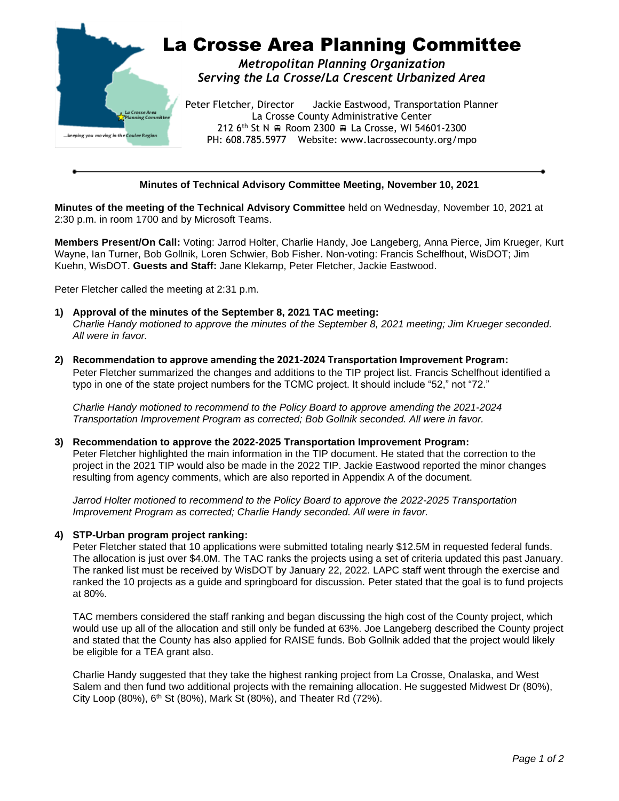

# **Minutes of Technical Advisory Committee Meeting, November 10, 2021**

**Minutes of the meeting of the Technical Advisory Committee** held on Wednesday, November 10, 2021 at 2:30 p.m. in room 1700 and by Microsoft Teams.

**Members Present/On Call:** Voting: Jarrod Holter, Charlie Handy, Joe Langeberg, Anna Pierce, Jim Krueger, Kurt Wayne, Ian Turner, Bob Gollnik, Loren Schwier, Bob Fisher. Non-voting: Francis Schelfhout, WisDOT; Jim Kuehn, WisDOT. **Guests and Staff:** Jane Klekamp, Peter Fletcher, Jackie Eastwood.

Peter Fletcher called the meeting at 2:31 p.m.

- **1) Approval of the minutes of the September 8, 2021 TAC meeting:** *Charlie Handy motioned to approve the minutes of the September 8, 2021 meeting; Jim Krueger seconded. All were in favor.*
- **2) Recommendation to approve amending the 2021-2024 Transportation Improvement Program:** Peter Fletcher summarized the changes and additions to the TIP project list. Francis Schelfhout identified a typo in one of the state project numbers for the TCMC project. It should include "52," not "72."

*Charlie Handy motioned to recommend to the Policy Board to approve amending the 2021-2024 Transportation Improvement Program as corrected; Bob Gollnik seconded. All were in favor.*

**3) Recommendation to approve the 2022-2025 Transportation Improvement Program:** Peter Fletcher highlighted the main information in the TIP document. He stated that the correction to the project in the 2021 TIP would also be made in the 2022 TIP. Jackie Eastwood reported the minor changes resulting from agency comments, which are also reported in Appendix A of the document.

*Jarrod Holter motioned to recommend to the Policy Board to approve the 2022-2025 Transportation Improvement Program as corrected; Charlie Handy seconded. All were in favor.*

## **4) STP-Urban program project ranking:**

Peter Fletcher stated that 10 applications were submitted totaling nearly \$12.5M in requested federal funds. The allocation is just over \$4.0M. The TAC ranks the projects using a set of criteria updated this past January. The ranked list must be received by WisDOT by January 22, 2022. LAPC staff went through the exercise and ranked the 10 projects as a guide and springboard for discussion. Peter stated that the goal is to fund projects at 80%.

TAC members considered the staff ranking and began discussing the high cost of the County project, which would use up all of the allocation and still only be funded at 63%. Joe Langeberg described the County project and stated that the County has also applied for RAISE funds. Bob Gollnik added that the project would likely be eligible for a TEA grant also.

Charlie Handy suggested that they take the highest ranking project from La Crosse, Onalaska, and West Salem and then fund two additional projects with the remaining allocation. He suggested Midwest Dr (80%), City Loop (80%),  $6<sup>th</sup>$  St (80%), Mark St (80%), and Theater Rd (72%).